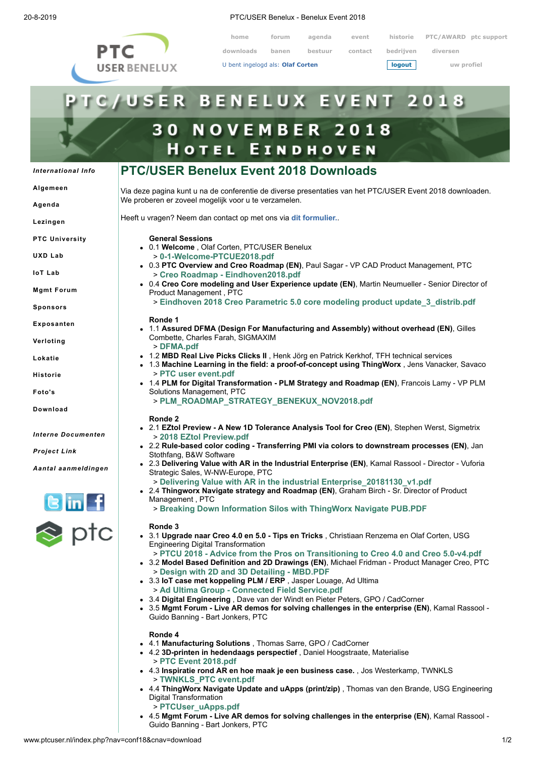

20-8-2019 PTC/USER Benelux - Benelux Event 2018

**home forum agenda event historie PTC/AWARD ptc support**

**downloads banen bestuur contact bedrijven diversen**

U bent ingelogd als: **Olaf Corten logout uw profiel**

# **USER BENELUX EVENT 201 30 NOVEMBER 2018 HOTEL EINDHOVEN**

## **PTC/USER Benelux Event 2018 Downloads**

**[Algemeen](http://www.ptcuser.nl/index.php?nav=conf18&cnav=algemeen)**

*[International](http://www.ptcuser.nl/index.php?nav=conf18&cnav=international) Info*

**[Agenda](http://www.ptcuser.nl/index.php?nav=conf18&cnav=agenda)**

**[Lezingen](http://www.ptcuser.nl/index.php?nav=conf18&cnav=lezingen)**

- **PTC [University](http://www.ptcuser.nl/index.php?nav=conf18&cnav=how)**
- **[UXD](http://www.ptcuser.nl/index.php?nav=conf18&cnav=uxlab) Lab**

**IoT [Lab](http://www.ptcuser.nl/index.php?nav=conf18&cnav=iotlab)**

**Mgmt [Forum](http://www.ptcuser.nl/index.php?nav=conf18&cnav=managementforum)**

**[Sponsors](http://www.ptcuser.nl/index.php?nav=conf18&cnav=sponsors)**

**[Exposanten](http://www.ptcuser.nl/index.php?nav=conf18&cnav=exposanten)**

**[Verloting](http://www.ptcuser.nl/index.php?nav=conf18&cnav=verloting)**

**[Lokatie](http://www.ptcuser.nl/index.php?nav=conf18&cnav=lokatie)**

**[Historie](http://www.ptcuser.nl/index.php?nav=conf18&cnav=historie)**

**[Foto's](http://www.ptcuser.nl/index.php?nav=conf18&cnav=fotos)**

**[Download](http://www.ptcuser.nl/index.php?nav=conf18&cnav=download)**

*Interne [Documenten](http://www.ptcuser.nl/index.php?nav=conf18&cnav=documents)*

*[Project](https://pds.ptc.com/Windchill/servlet/TypeBasedIncludeServlet?ContainerOid=OR%3Awt.projmgmt.admin.Project2%3A634882499&oid=OR%3Awt.folder.Cabinet%3A634885638&u8=1) Link*

*Aantal [aanmeldingen](http://www.ptcuser.nl/index.php?nav=conf18&wenav=printsubmissions&order=aangemeld)*



Via deze pagina kunt u na de conferentie de diverse presentaties van het PTC/USER Event 2018 downloaden. We proberen er zoveel mogelijk voor u te verzamelen.

Heeft u vragen? Neem dan contact op met ons via **[dit formulier.](http://www.ptcuser.nl/mform.php?hdid=Informatie%A0aanvraag%A0over%A0de%A0downloads%A0van%A0het%A0Event%A02018&thid=m&nmid=info&sbid=Event%A02018%A0Download%A0info&yqid=Vraag%A0over%A0Event%A02018%A0Download)**.

- **General Sessions**
- 0.1 **Welcome** , Olaf Corten, PTC/USER Benelux
	- > **[0-1-Welcome-PTCUE2018.pdf](http://www.ptcuser.nl/conf_18/presentations/0-1-Welcome%20-%20PTCUSER%20Benelux/0-1-Welcome-PTCUE2018.pdf)**
- 0.3 **PTC Overview and Creo Roadmap (EN)**, Paul Sagar VP CAD Product Management, PTC > **[Creo Roadmap - Eindhoven2018.pdf](http://www.ptcuser.nl/conf_18/presentations/0-3-PTC%20Overview%20and%20Creo%20Roadmap%20%20-%20PTC/Creo%20Roadmap%20-%20Eindhoven2018.pdf)**
- 0.4 **Creo Core modeling and User Experience update (EN)**, Martin Neumueller Senior Director of Product Management , PTC

> **[Eindhoven 2018 Creo Parametric 5.0 core modeling product update\\_3\\_distrib.pdf](http://www.ptcuser.nl/conf_18/presentations/0-4-Creo%20Core%20modeling%20and%20User%20Experience%20update%20-%20PTC/Eindhoven%202018%20Creo%20Parametric%205.0%20%20core%20modeling%20product%20update_3_distrib.pdf)**

#### **Ronde 1**

- 1.1 **Assured DFMA (Design For Manufacturing and Assembly) without overhead (EN)**, Gilles Combette, Charles Farah, SIGMAXIM > **[DFMA.pdf](http://www.ptcuser.nl/conf_18/presentations/1-1-Assured%20DFMA%20(Design%20For%20Manufacturing%20and%20Assembly)%20without%20overhead%20-%20SIGMAXIM/DFMA.pdf)**
- 1.2 **MBD Real Live Picks Clicks II** , Henk Jörg en Patrick Kerkhof, TFH technical services
- 1.3 **Machine Learning in the field: a proof-of-concept using ThingWorx** , Jens Vanacker, Savaco > **[PTC user event.pdf](http://www.ptcuser.nl/conf_18/presentations/1-3-Machine%20Learning%20in%20the%20field,%20a%20proof-of-concept%20using%20ThingWorx%20-%20Savaco/PTC%20user%20event.pdf)**
- 1.4 **PLM for Digital Transformation PLM Strategy and Roadmap (EN)**, Francois Lamy VP PLM Solutions Management, PTC > **[PLM\\_ROADMAP\\_STRATEGY\\_BENEKUX\\_NOV2018.pdf](http://www.ptcuser.nl/conf_18/presentations/1-4-PLM%20for%20Digital%20Transformation%20-%20PLM%20Strategy%20and%20Roadmap%20-%20PTC/PLM_ROADMAP_STRATEGY_BENEKUX_NOV2018.pdf)**

#### **Ronde 2**

- 2.1 **EZtol Preview A New 1D Tolerance Analysis Tool for Creo (EN)**, Stephen Werst, Sigmetrix > **[2018 EZtol Preview.pdf](http://www.ptcuser.nl/conf_18/presentations/2-1-EZtol%20Preview%20-%20A%20New%201D%20Tolerance%20Analysis%20Tool%20for%20Creo%20-%20Sigmetrix/2018%20EZtol%20Preview.pdf)**
- 2.2 **Rule-based color coding Transferring PMI via colors to downstream processes (EN)**, Jan Stothfang, B&W Software
- 2.3 **Delivering Value with AR in the Industrial Enterprise (EN)**, Kamal Rassool Director Vuforia Strategic Sales, W-NW-Europe, PTC
	- > **[Delivering Value with AR in the industrial Enterprise\\_20181130\\_v1.pdf](http://www.ptcuser.nl/conf_18/presentations/2-3-Delivering%20Value%20with%20AR%20in%20the%20Industrial%20Enterprise%20-%20PTC/Delivering%20Value%20with%20AR%20in%20the%20industrial%20Enterprise_20181130_v1.pdf)**
- 2.4 **Thingworx Navigate strategy and Roadmap (EN)**, Graham Birch Sr. Director of Product Management , PTC
	- > **[Breaking Down Information Silos with ThingWorx Navigate PUB.PDF](http://www.ptcuser.nl/conf_18/presentations/2-4-Thingworx%20Navigate%20strategy%20and%20Roadmap%20%20-%20PTC/Breaking%20Down%20Information%20Silos%20with%20ThingWorx%20Navigate%20PUB.PDF)**

#### **Ronde 3**

- 3.1 **Upgrade naar Creo 4.0 en 5.0 Tips en Tricks** , Christiaan Renzema en Olaf Corten, USG Engineering Digital Transformation
- > **[PTCU 2018 Advice from the Pros on Transitioning to Creo 4.0 and Creo 5.0-v4.pdf](http://www.ptcuser.nl/conf_18/presentations/3-1-Upgrade%20naar%20Creo%204.0%20en%205.0%20-%20Tips%20en%20Tricks%20-%20USG%20Engineering%20Digital%20Transformation/PTCU%202018%20-%20Advice%20from%20the%20Pros%20on%20Transitioning%20to%20Creo%204.0%20and%20Creo%205.0-v4.pdf)** 3.2 **Model Based Definition and 2D Drawings (EN)**, Michael Fridman - Product Manager Creo, PTC
- > **[Design with 2D and 3D Detailing MBD.PDF](http://www.ptcuser.nl/conf_18/presentations/3-2-Model%20Based%20Definition%20and%202D%20Drawings%20-%20PTC/Design%20with%202D%20and%203D%20Detailing%20-%20MBD.PDF)** 3.3 **IoT case met koppeling PLM / ERP** , Jasper Louage, Ad Ultima > **[Ad Ultima Group - Connected Field Service.pdf](http://www.ptcuser.nl/conf_18/presentations/3-3-IoT%20case%20met%20koppeling%20PLM%20%20ERP%20-%20Ad%20Ultima/Ad%20Ultima%20Group%20-%20Connected%20Field%20Service.pdf)**
- 3.4 **Digital Engineering** , Dave van der Windt en Pieter Peters, GPO / CadCorner
- 3.5 **Mgmt Forum Live AR demos for solving challenges in the enterprise (EN)**, Kamal Rassool Guido Banning - Bart Jonkers, PTC

#### **Ronde 4**

- 4.1 **Manufacturing Solutions** , Thomas Sarre, GPO / CadCorner
- 4.2 **3D-printen in hedendaags perspectief** , Daniel Hoogstraate, Materialise > **[PTC Event 2018.pdf](http://www.ptcuser.nl/conf_18/presentations/4-2-3D-printen%20in%20hedendaags%20perspectief%20-%20Materialise/PTC%20Event%202018.pdf)**
- 4.3 **Inspiratie rond AR en hoe maak je een business case.** , Jos Westerkamp, TWNKLS > **[TWNKLS\\_PTC event.pdf](http://www.ptcuser.nl/conf_18/presentations/4-3-Inspiratie%20rond%20AR%20en%20hoe%20maak%20je%20een%20business%20case.%20-%20TWNKLS/TWNKLS_PTC%20event.pdf)**
- 4.4 **ThingWorx Navigate Update and uApps (print/zip)** , Thomas van den Brande, USG Engineering Digital Transformation
	- > **[PTCUser\\_uApps.pdf](http://www.ptcuser.nl/conf_18/presentations/4-4-ThingWorx%20Navigate%20Update%20and%20uApps%20(printzip)%20-%20USG%20Engineering%20Digital%20Transformation/PTCUser_uApps.pdf)**
- 4.5 **Mgmt Forum Live AR demos for solving challenges in the enterprise (EN)**, Kamal Rassool Guido Banning - Bart Jonkers, PTC